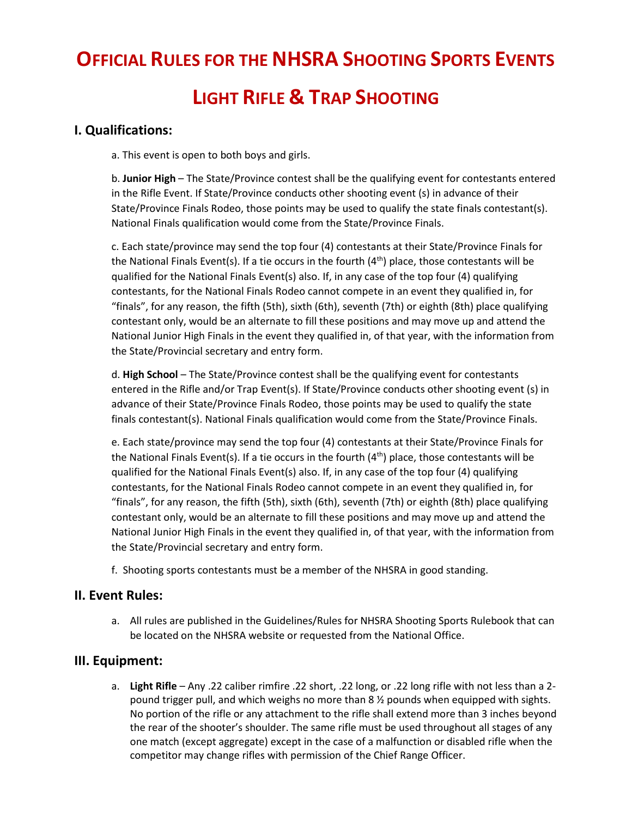# **OFFICIAL RULES FOR THE NHSRA SHOOTING SPORTS EVENTS LIGHT RIFLE & TRAP SHOOTING**

## **I. Qualifications:**

a. This event is open to both boys and girls.

b. **Junior High** – The State/Province contest shall be the qualifying event for contestants entered in the Rifle Event. If State/Province conducts other shooting event (s) in advance of their State/Province Finals Rodeo, those points may be used to qualify the state finals contestant(s). National Finals qualification would come from the State/Province Finals.

c. Each state/province may send the top four (4) contestants at their State/Province Finals for the National Finals Event(s). If a tie occurs in the fourth  $(4<sup>th</sup>)$  place, those contestants will be qualified for the National Finals Event(s) also. If, in any case of the top four (4) qualifying contestants, for the National Finals Rodeo cannot compete in an event they qualified in, for "finals", for any reason, the fifth (5th), sixth (6th), seventh (7th) or eighth (8th) place qualifying contestant only, would be an alternate to fill these positions and may move up and attend the National Junior High Finals in the event they qualified in, of that year, with the information from the State/Provincial secretary and entry form.

d. **High School** – The State/Province contest shall be the qualifying event for contestants entered in the Rifle and/or Trap Event(s). If State/Province conducts other shooting event (s) in advance of their State/Province Finals Rodeo, those points may be used to qualify the state finals contestant(s). National Finals qualification would come from the State/Province Finals.

e. Each state/province may send the top four (4) contestants at their State/Province Finals for the National Finals Event(s). If a tie occurs in the fourth  $(4<sup>th</sup>)$  place, those contestants will be qualified for the National Finals Event(s) also. If, in any case of the top four (4) qualifying contestants, for the National Finals Rodeo cannot compete in an event they qualified in, for "finals", for any reason, the fifth (5th), sixth (6th), seventh (7th) or eighth (8th) place qualifying contestant only, would be an alternate to fill these positions and may move up and attend the National Junior High Finals in the event they qualified in, of that year, with the information from the State/Provincial secretary and entry form.

f. Shooting sports contestants must be a member of the NHSRA in good standing.

#### **II. Event Rules:**

a. All rules are published in the Guidelines/Rules for NHSRA Shooting Sports Rulebook that can be located on the NHSRA website or requested from the National Office.

# **III. Equipment:**

a. **Light Rifle** – Any .22 caliber rimfire .22 short, .22 long, or .22 long rifle with not less than a 2 pound trigger pull, and which weighs no more than 8 ½ pounds when equipped with sights. No portion of the rifle or any attachment to the rifle shall extend more than 3 inches beyond the rear of the shooter's shoulder. The same rifle must be used throughout all stages of any one match (except aggregate) except in the case of a malfunction or disabled rifle when the competitor may change rifles with permission of the Chief Range Officer.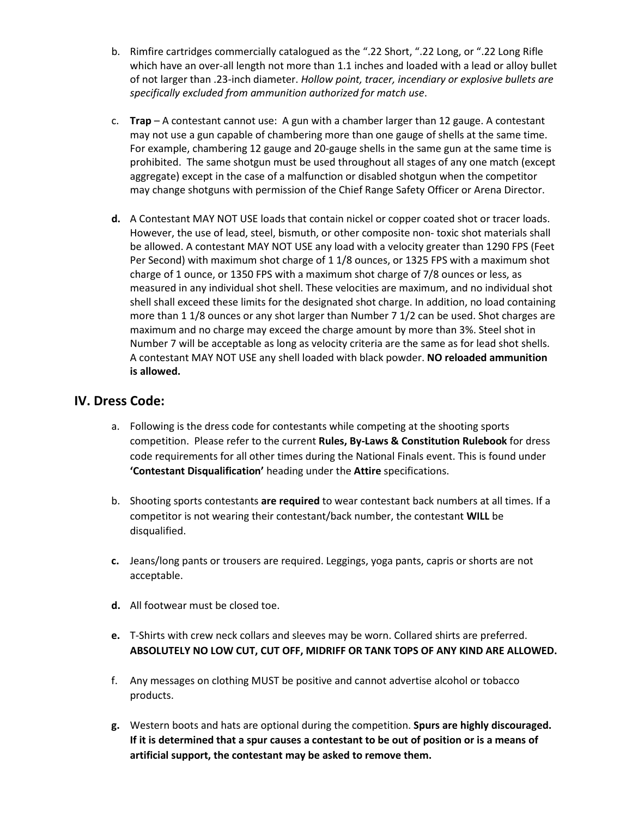- b. Rimfire cartridges commercially catalogued as the ".22 Short, ".22 Long, or ".22 Long Rifle which have an over-all length not more than 1.1 inches and loaded with a lead or alloy bullet of not larger than .23-inch diameter. *Hollow point, tracer, incendiary or explosive bullets are specifically excluded from ammunition authorized for match use*.
- c. **Trap** A contestant cannot use: A gun with a chamber larger than 12 gauge. A contestant may not use a gun capable of chambering more than one gauge of shells at the same time. For example, chambering 12 gauge and 20-gauge shells in the same gun at the same time is prohibited. The same shotgun must be used throughout all stages of any one match (except aggregate) except in the case of a malfunction or disabled shotgun when the competitor may change shotguns with permission of the Chief Range Safety Officer or Arena Director.
- **d.** A Contestant MAY NOT USE loads that contain nickel or copper coated shot or tracer loads. However, the use of lead, steel, bismuth, or other composite non- toxic shot materials shall be allowed. A contestant MAY NOT USE any load with a velocity greater than 1290 FPS (Feet Per Second) with maximum shot charge of 1 1/8 ounces, or 1325 FPS with a maximum shot charge of 1 ounce, or 1350 FPS with a maximum shot charge of 7/8 ounces or less, as measured in any individual shot shell. These velocities are maximum, and no individual shot shell shall exceed these limits for the designated shot charge. In addition, no load containing more than 1 1/8 ounces or any shot larger than Number 7 1/2 can be used. Shot charges are maximum and no charge may exceed the charge amount by more than 3%. Steel shot in Number 7 will be acceptable as long as velocity criteria are the same as for lead shot shells. A contestant MAY NOT USE any shell loaded with black powder. **NO reloaded ammunition is allowed.**

#### **IV. Dress Code:**

- a. Following is the dress code for contestants while competing at the shooting sports competition. Please refer to the current **Rules, By-Laws & Constitution Rulebook** for dress code requirements for all other times during the National Finals event. This is found under **'Contestant Disqualification'** heading under the **Attire** specifications.
- b. Shooting sports contestants **are required** to wear contestant back numbers at all times. If a competitor is not wearing their contestant/back number, the contestant **WILL** be disqualified.
- **c.** Jeans/long pants or trousers are required. Leggings, yoga pants, capris or shorts are not acceptable.
- **d.** All footwear must be closed toe.
- **e.** T-Shirts with crew neck collars and sleeves may be worn. Collared shirts are preferred. **ABSOLUTELY NO LOW CUT, CUT OFF, MIDRIFF OR TANK TOPS OF ANY KIND ARE ALLOWED.**
- f. Any messages on clothing MUST be positive and cannot advertise alcohol or tobacco products.
- **g.** Western boots and hats are optional during the competition. **Spurs are highly discouraged. If it is determined that a spur causes a contestant to be out of position or is a means of artificial support, the contestant may be asked to remove them.**